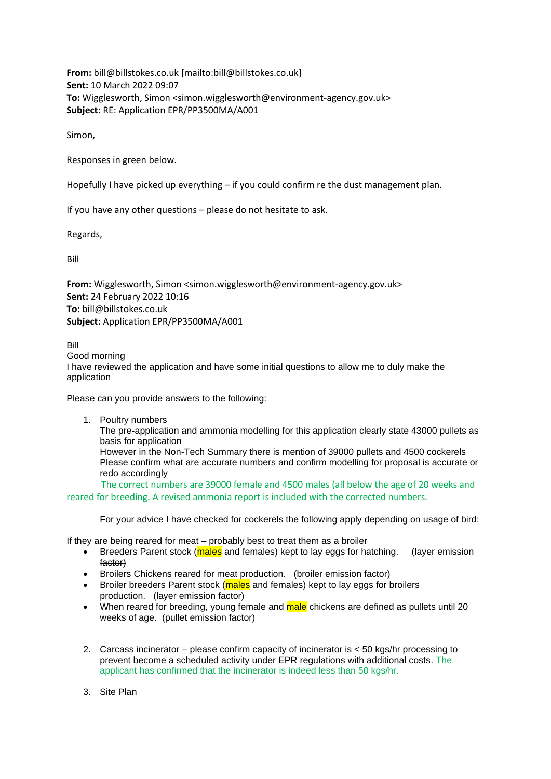**From:** bill@billstokes.co.uk [mailto:bill@billstokes.co.uk] **Sent:** 10 March 2022 09:07 **To:** Wigglesworth, Simon <simon.wigglesworth@environment-agency.gov.uk> **Subject:** RE: Application EPR/PP3500MA/A001

Simon,

Responses in green below.

Hopefully I have picked up everything – if you could confirm re the dust management plan.

If you have any other questions – please do not hesitate to ask.

Regards,

Bill

**From:** Wigglesworth, Simon <simon.wigglesworth@environment-agency.gov.uk> **Sent:** 24 February 2022 10:16 **To:** bill@billstokes.co.uk **Subject:** Application EPR/PP3500MA/A001

Bill Good morning I have reviewed the application and have some initial questions to allow me to duly make the application

Please can you provide answers to the following:

1. Poultry numbers The pre-application and ammonia modelling for this application clearly state 43000 pullets as basis for application However in the Non-Tech Summary there is mention of 39000 pullets and 4500 cockerels Please confirm what are accurate numbers and confirm modelling for proposal is accurate or redo accordingly The correct numbers are 39000 female and 4500 males (all below the age of 20 weeks and

reared for breeding. A revised ammonia report is included with the corrected numbers.

For your advice I have checked for cockerels the following apply depending on usage of bird:

If they are being reared for meat – probably best to treat them as a broiler

- Breeders Parent stock (males and females) kept to lay eggs for hatching. (layer emission factor)
- Broilers Chickens reared for meat production. (broiler emission factor)
- Broiler breeders Parent stock (males and females) kept to lay eggs for broilers production. (layer emission factor)
- When reared for breeding, young female and male chickens are defined as pullets until 20 weeks of age. (pullet emission factor)
- 2. Carcass incinerator please confirm capacity of incinerator is < 50 kgs/hr processing to prevent become a scheduled activity under EPR regulations with additional costs. The applicant has confirmed that the incinerator is indeed less than 50 kgs/hr.
- 3. Site Plan